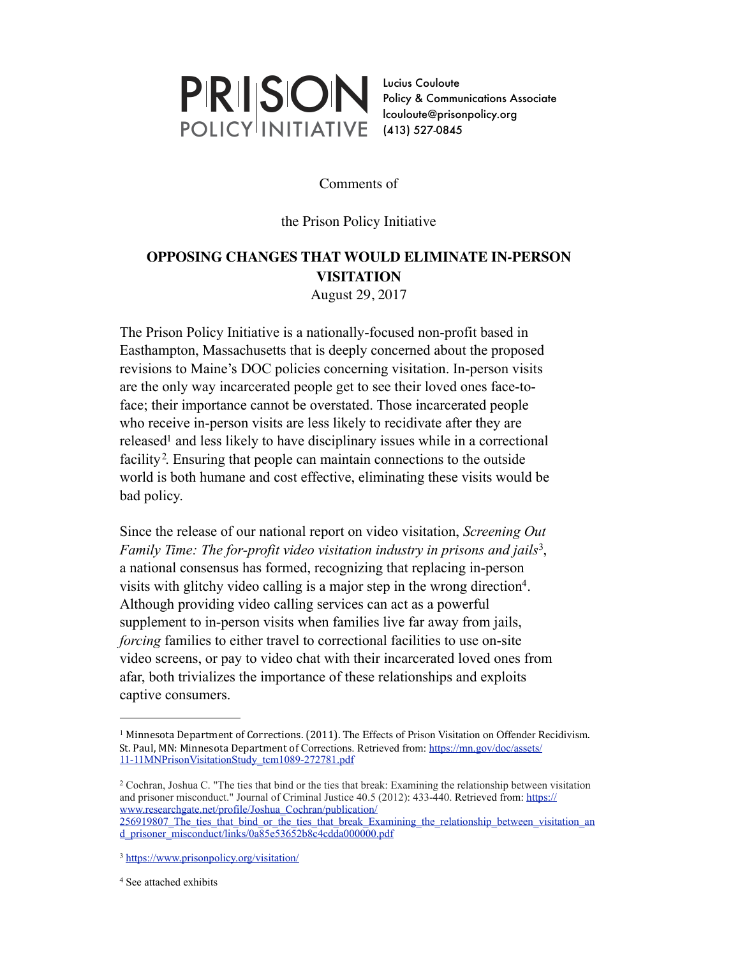**PRISON POLICY INITIATIVE** 

Lucius Couloute Policy & Communications Associate lcouloute@prisonpolicy.org (413) 527-0845

Comments of

#### the Prison Policy Initiative

#### **OPPOSING CHANGES THAT WOULD ELIMINATE IN-PERSON VISITATION** August 29, 2017

The Prison Policy Initiative is a nationally-focused non-profit based in Easthampton, Massachusetts that is deeply concerned about the proposed revisions to Maine's DOC policies concerning visitation. In-person visits are the only way incarcerated people get to see their loved ones face-toface; their importance cannot be overstated. Those incarcerated people who receive in-person visits are less likely to recidivate after they are released<sup>1</sup> and less likely to have disciplinary issues while in a correctional facility<sup>[2](#page-0-1)</sup>. Ensuring that people can maintain connections to the outside world is both humane and cost effective, eliminating these visits would be bad policy.

Since the release of our national report on video visitation, *Screening Out Family Time: The for-profit video visitation industry in prisons and jails*[3,](#page-0-2) a national consensus has formed, recognizing that replacing in-person visits with glitchy video calling is a major step in the wrong directio[n4](#page-0-3). Although providing video calling services can act as a powerful supplement to in-person visits when families live far away from jails, *forcing* families to either travel to correctional facilities to use on-site video screens, or pay to video chat with their incarcerated loved ones from afar, both trivializes the importance of these relationships and exploits captive consumers.

<span id="page-0-0"></span><sup>&</sup>lt;sup>1</sup> Minnesota Department of Corrections. (2011). The Effects of Prison Visitation on Offender Recidivism. St. Paul, MN: Minnesota Department of Corrections. Retrieved from: [https://mn.gov/doc/assets/](https://mn.gov/doc/assets/11-11MNPrisonVisitationStudy_tcm1089-272781.pdf) [11-11MNPrisonVisitationStudy\\_tcm1089-272781.pdf](https://mn.gov/doc/assets/11-11MNPrisonVisitationStudy_tcm1089-272781.pdf)

<span id="page-0-1"></span><sup>2</sup> Cochran, Joshua C. "The ties that bind or the ties that break: Examining the relationship between visitation and prisoner misconduct." Journal of Criminal Justice 40.5 (2012): 433-440. Retrieved from: [https://](https://www.researchgate.net/profile/Joshua_Cochran/publication/256919807_The_ties_that_bind_or_the_ties_that_break_Examining_the_relationship_between_visitation_and_prisoner_misconduct/links/0a85e53652b8c4cdda000000.pdf) [www.researchgate.net/profile/Joshua\\_Cochran/publication/](https://www.researchgate.net/profile/Joshua_Cochran/publication/256919807_The_ties_that_bind_or_the_ties_that_break_Examining_the_relationship_between_visitation_and_prisoner_misconduct/links/0a85e53652b8c4cdda000000.pdf) 256919807. The ties that bind or the ties that break Examining the relationship between visitation an [d\\_prisoner\\_misconduct/links/0a85e53652b8c4cdda000000.pdf](https://www.researchgate.net/profile/Joshua_Cochran/publication/256919807_The_ties_that_bind_or_the_ties_that_break_Examining_the_relationship_between_visitation_and_prisoner_misconduct/links/0a85e53652b8c4cdda000000.pdf)

<span id="page-0-2"></span><sup>3</sup> <https://www.prisonpolicy.org/visitation/>

<span id="page-0-3"></span><sup>4</sup> See attached exhibits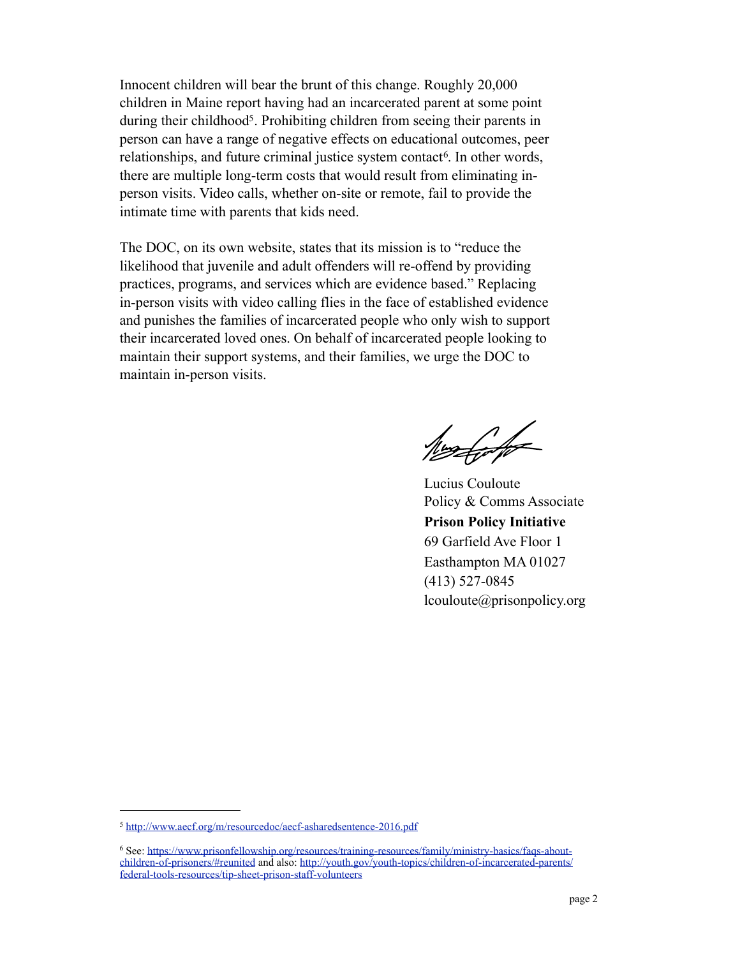Innocent children will bear the brunt of this change. Roughly 20,000 children in Maine report having had an incarcerated parent at some point during their childhoo[d5](#page-1-0). Prohibiting children from seeing their parents in person can have a range of negative effects on educational outcomes, peer relationships, and future criminal justice system contact<sup>6</sup>. In other words, there are multiple long-term costs that would result from eliminating inperson visits. Video calls, whether on-site or remote, fail to provide the intimate time with parents that kids need.

The DOC, on its own website, states that its mission is to "reduce the likelihood that juvenile and adult offenders will re-offend by providing practices, programs, and services which are evidence based." Replacing in-person visits with video calling flies in the face of established evidence and punishes the families of incarcerated people who only wish to support their incarcerated loved ones. On behalf of incarcerated people looking to maintain their support systems, and their families, we urge the DOC to maintain in-person visits.

hus forte

 Lucius Couloute Policy & Comms Associate **Prison Policy Initiative** 69 Garfield Ave Floor 1 Easthampton MA 01027 (413) 527-0845 lcouloute@prisonpolicy.org

<span id="page-1-0"></span><sup>5</sup> <http://www.aecf.org/m/resourcedoc/aecf-asharedsentence-2016.pdf>

<span id="page-1-1"></span><sup>6</sup> See: [https://www.prisonfellowship.org/resources/training-resources/family/ministry-basics/faqs-about](https://www.prisonfellowship.org/resources/training-resources/family/ministry-basics/faqs-about-children-of-prisoners/%23reunited)[children-of-prisoners/#reunited](https://www.prisonfellowship.org/resources/training-resources/family/ministry-basics/faqs-about-children-of-prisoners/%23reunited) and also: [http://youth.gov/youth-topics/children-of-incarcerated-parents/](http://youth.gov/youth-topics/children-of-incarcerated-parents/federal-tools-resources/tip-sheet-prison-staff-volunteers) [federal-tools-resources/tip-sheet-prison-staff-volunteers](http://youth.gov/youth-topics/children-of-incarcerated-parents/federal-tools-resources/tip-sheet-prison-staff-volunteers)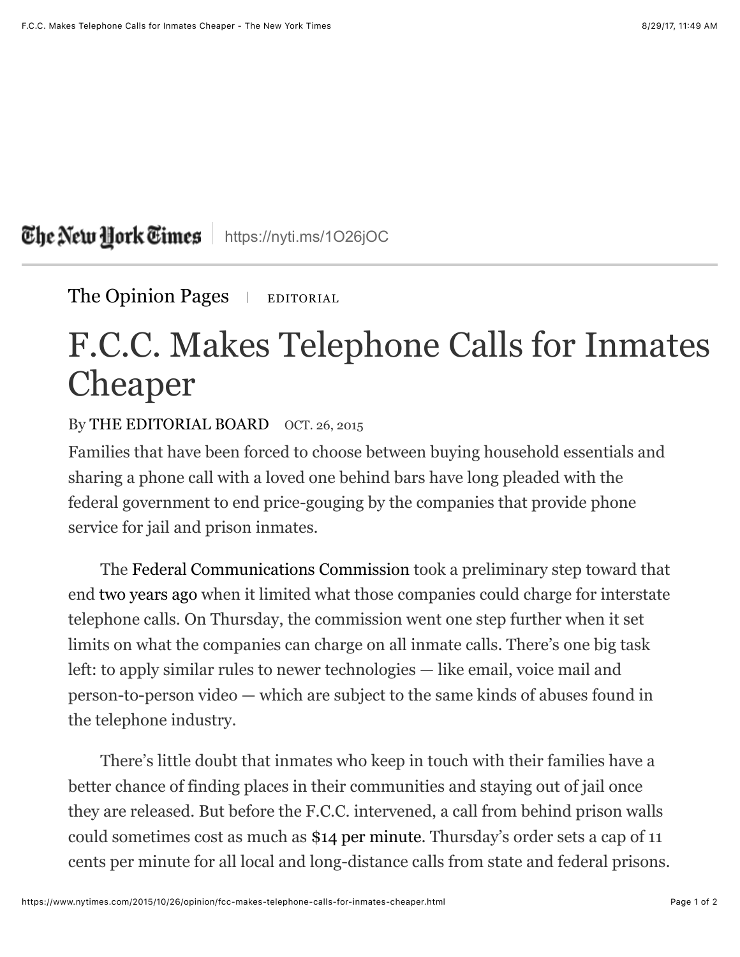#### The New York Times <https://nyti.ms/1O26jOC>

[The Opinion Pages](https://www.nytimes.com/pages/opinion/index.html) | EDITORIAL

### F.C.C. Makes Telephone Calls for Inmates Cheaper

#### By [THE EDITORIAL BOARD](https://www.nytimes.com/interactive/opinion/editorialboard.html) OCT. 26, 2015

Families that have been forced to choose between buying household essentials and sharing a phone call with a loved one behind bars have long pleaded with the federal government to end price-gouging by the companies that provide phone service for jail and prison inmates.

The [Federal Communications Commission](http://www.nytimes.com/2014/01/07/opinion/unfair-phone-charges-for-inmates.html) took a preliminary step toward that end [two years ago](https://www.federalregister.gov/articles/2013/11/13/2013-26378/rates-for-interstate-inmate-calling-services) when it limited what those companies could charge for interstate telephone calls. On Thursday, the commission went one step further when it set limits on what the companies can charge on all inmate calls. There's one big task left: to apply similar rules to newer technologies — like email, voice mail and person-to-person video — which are subject to the same kinds of abuses found in the telephone industry.

There's little doubt that inmates who keep in touch with their families have a better chance of finding places in their communities and staying out of jail once they are released. But before the F.C.C. intervened, a call from behind prison walls could sometimes cost as much as [\\$14 per minute.](https://www.fcc.gov/document/fcc-takes-next-big-steps-reducing-inmate-calling-rates) Thursday's order sets a cap of 11 cents per minute for all local and long-distance calls from state and federal prisons.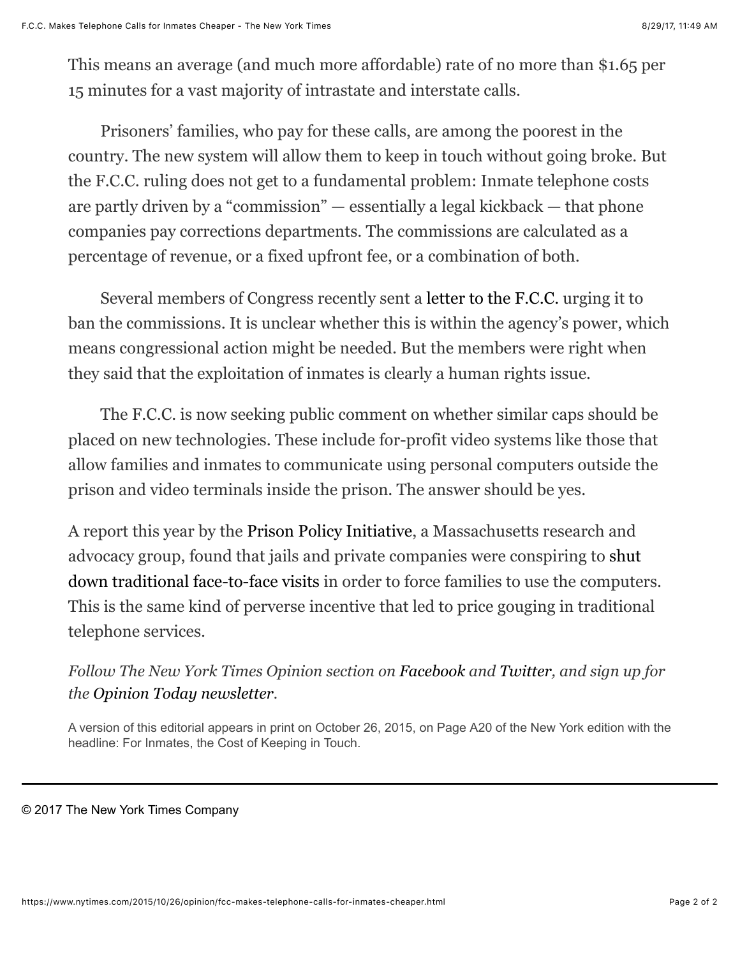This means an average (and much more affordable) rate of no more than \$1.65 per 15 minutes for a vast majority of intrastate and interstate calls.

Prisoners' families, who pay for these calls, are among the poorest in the country. The new system will allow them to keep in touch without going broke. But the F.C.C. ruling does not get to a fundamental problem: Inmate telephone costs are partly driven by a "commission" — essentially a legal kickback — that phone companies pay corrections departments. The commissions are calculated as a percentage of revenue, or a fixed upfront fee, or a combination of both.

Several members of Congress recently sent a [letter to the F.C.C.](http://static.politico.com/ac/a7/38aac86048fe8fa392c79fd83e2b/rush-letter.pdf) urging it to ban the commissions. It is unclear whether this is within the agency's power, which means congressional action might be needed. But the members were right when they said that the exploitation of inmates is clearly a human rights issue.

The F.C.C. is now seeking public comment on whether similar caps should be placed on new technologies. These include for-profit video systems like those that allow families and inmates to communicate using personal computers outside the prison and video terminals inside the prison. The answer should be yes.

A report this year by the [Prison Policy Initiative](http://www.prisonpolicy.org/), a Massachusetts research and advocacy group, found that jails and private companies were conspiring to shut [down traditional face-to-face visits in order to force families to use the compute](http://www.prisonpolicy.org/visitation/exec_summary.html)rs. This is the same kind of perverse incentive that led to price gouging in traditional telephone services.

*Follow The New York Times Opinion section on [Facebook](https://www.facebook.com/nytopinion) and [Twitter,](http://twitter.com/NYTOpinion) and sign up for th[e Opinion Today newsletter](http://www.nytimes.com/newsletters/opiniontoday/).* 

A version of this editorial appears in print on October 26, 2015, on Page A20 of the New York edition with the headline: For Inmates, the Cost of Keeping in Touch.

[© 2017 The New York Times Company](https://www.nytimes.com/content/help/rights/copyright/copyright-notice.html)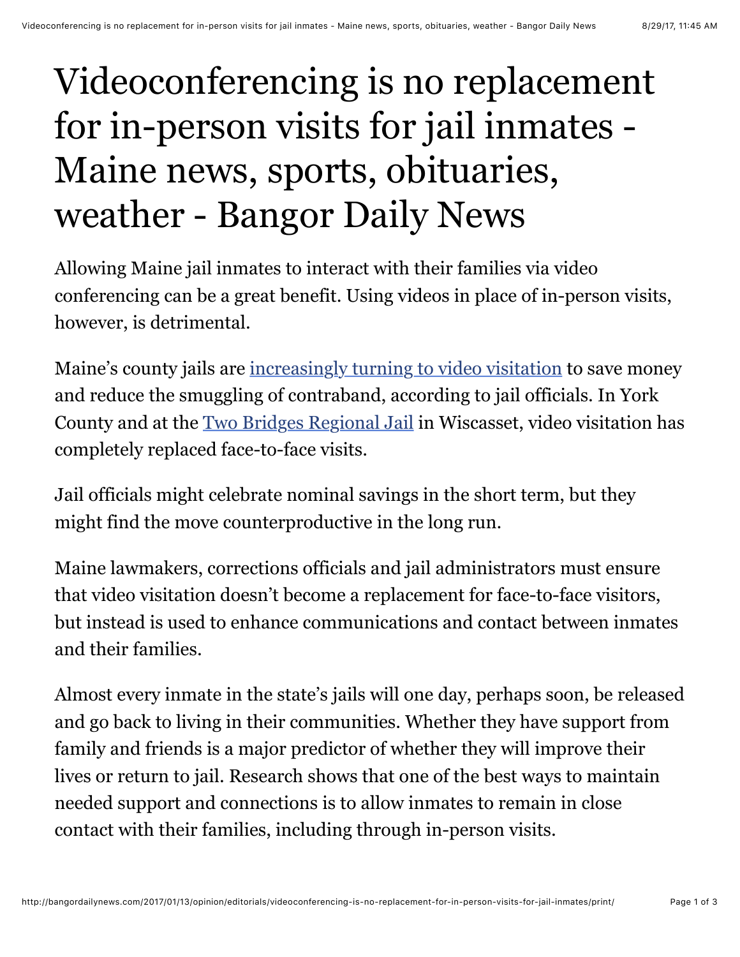## Videoconferencing is no replacement for in-person visits for jail inmates - Maine news, sports, obituaries, weather - Bangor Daily News

Allowing Maine jail inmates to interact with their families via video conferencing can be a great benefit. Using videos in place of in-person visits, however, is detrimental.

Maine's county jails are <u>[increasingly turning to video visitation](https://www.google.com/url?q=http://bangordailynews.com/2017/01/08/news/state/in-effort-to-reduce-contraband-more-maine-jails-turn-to-video-visitation/&sa=D&ust=1484263836176000&usg=AFQjCNGyza-a8BlLsRh98yGLgK1zCIr2cA)</u> to save money and reduce the smuggling of contraband, according to jail officials. In York County and at the [Two Bridges Regional Jail](https://www.google.com/url?q=http://www.renovosoftware.com/news/inmate-visitation-news/two-bridges-regional-jail-begins-video-visitation/&sa=D&ust=1484263836177000&usg=AFQjCNHe0fld_k0xsIPXLdX6Xbm0opX0uA) in Wiscasset, video visitation has completely replaced face-to-face visits.

Jail officials might celebrate nominal savings in the short term, but they might find the move counterproductive in the long run.

Maine lawmakers, corrections officials and jail administrators must ensure that video visitation doesn't become a replacement for face-to-face visitors, but instead is used to enhance communications and contact between inmates and their families.

Almost every inmate in the state's jails will one day, perhaps soon, be released and go back to living in their communities. Whether they have support from family and friends is a major predictor of whether they will improve their lives or return to jail. Research shows that one of the best ways to maintain needed support and connections is to allow inmates to remain in close contact with their families, including through in-person visits.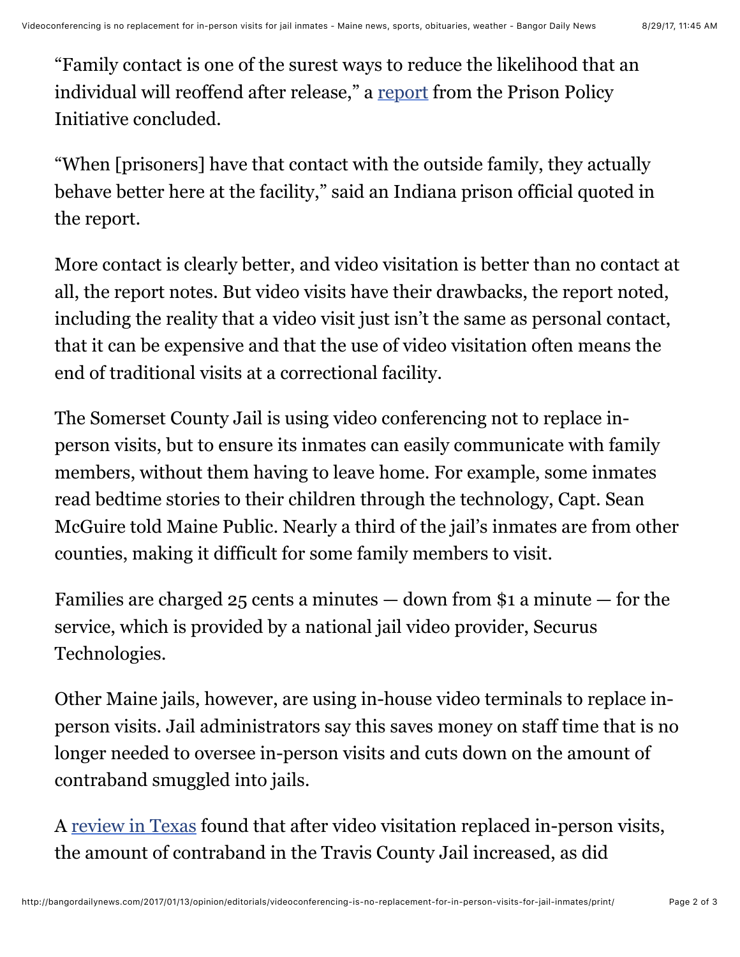"Family contact is one of the surest ways to reduce the likelihood that an individual will reoffend after release," a [report](https://www.google.com/url?q=https://www.prisonpolicy.org/visitation/report.html&sa=D&ust=1484263836180000&usg=AFQjCNHWhKH8IH1xnyyfsDlakWarX4R91A) from the Prison Policy Initiative concluded.

"When [prisoners] have that contact with the outside family, they actually behave better here at the facility," said an Indiana prison official quoted in the report.

More contact is clearly better, and video visitation is better than no contact at all, the report notes. But video visits have their drawbacks, the report noted, including the reality that a video visit just isn't the same as personal contact, that it can be expensive and that the use of video visitation often means the end of traditional visits at a correctional facility.

The Somerset County Jail is using video conferencing not to replace inperson visits, but to ensure its inmates can easily communicate with family members, without them having to leave home. For example, some inmates read bedtime stories to their children through the technology, Capt. Sean McGuire told Maine Public. Nearly a third of the jail's inmates are from other counties, making it difficult for some family members to visit.

Families are charged  $25$  cents a minutes  $-$  down from \$1 a minute  $-$  for the service, which is provided by a national jail video provider, Securus Technologies.

Other Maine jails, however, are using in-house video terminals to replace inperson visits. Jail administrators say this saves money on staff time that is no longer needed to oversee in-person visits and cuts down on the amount of contraband smuggled into jails.

A [review in Texas](https://www.google.com/url?q=http://grassrootsleadership.org/sites/default/files/uploads/Video%2520Visitation%2520%2528web%2529.pdf&sa=D&ust=1484263836186000&usg=AFQjCNEqrEn3H5JUEn7x_5lxMS8YIkmLVw) found that after video visitation replaced in-person visits, the amount of contraband in the Travis County Jail increased, as did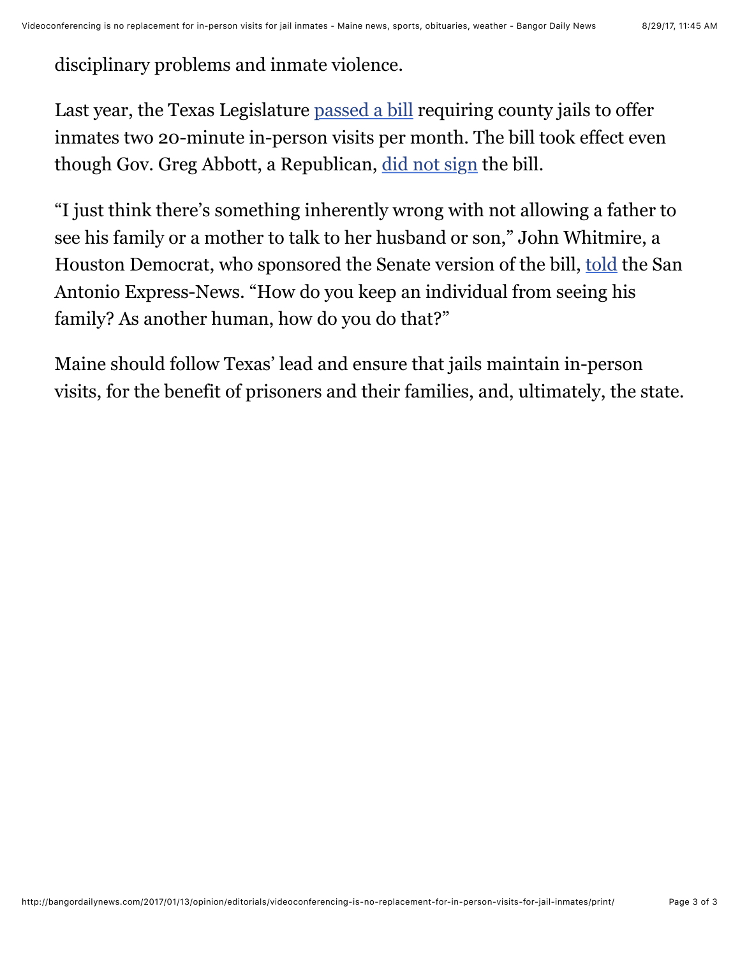disciplinary problems and inmate violence.

Last year, the Texas Legislature [passed a bill](https://www.google.com/url?q=http://www.capitol.state.tx.us/tlodocs/84R/billtext/pdf/HB00549F.pdf%23navpanes%3D0&sa=D&ust=1484263836187000&usg=AFQjCNFr0Xk0UXCmN2jwKJJzb_4BPfch0g) requiring county jails to offer inmates two 20-minute in-person visits per month. The bill took effect even though Gov. Greg Abbott, a Republican, [did not sign](https://www.google.com/url?q=http://www.capitol.state.tx.us/BillLookup/Actions.aspx?LegSess%3D84R%26Bill%3DHB549&sa=D&ust=1484263836188000&usg=AFQjCNFjEcWvI3UkozH9lViWPYMAnY5UxQ) the bill.

"I just think there's something inherently wrong with not allowing a father to see his family or a mother to talk to her husband or son," John Whitmire, a Houston Democrat, who sponsored the Senate version of the bill, [told](https://www.google.com/url?q=http://www.expressnews.com/news/politics/texas_legislature/article/Video-jail-visits-draw-lawmaker-s-ire-6182466.php&sa=D&ust=1484263836190000&usg=AFQjCNHoqIEW0H1AUDVnvKzK-QufNS49fA) the San Antonio Express-News. "How do you keep an individual from seeing his family? As another human, how do you do that?"

Maine should follow Texas' lead and ensure that jails maintain in-person visits, for the benefit of prisoners and their families, and, ultimately, the state.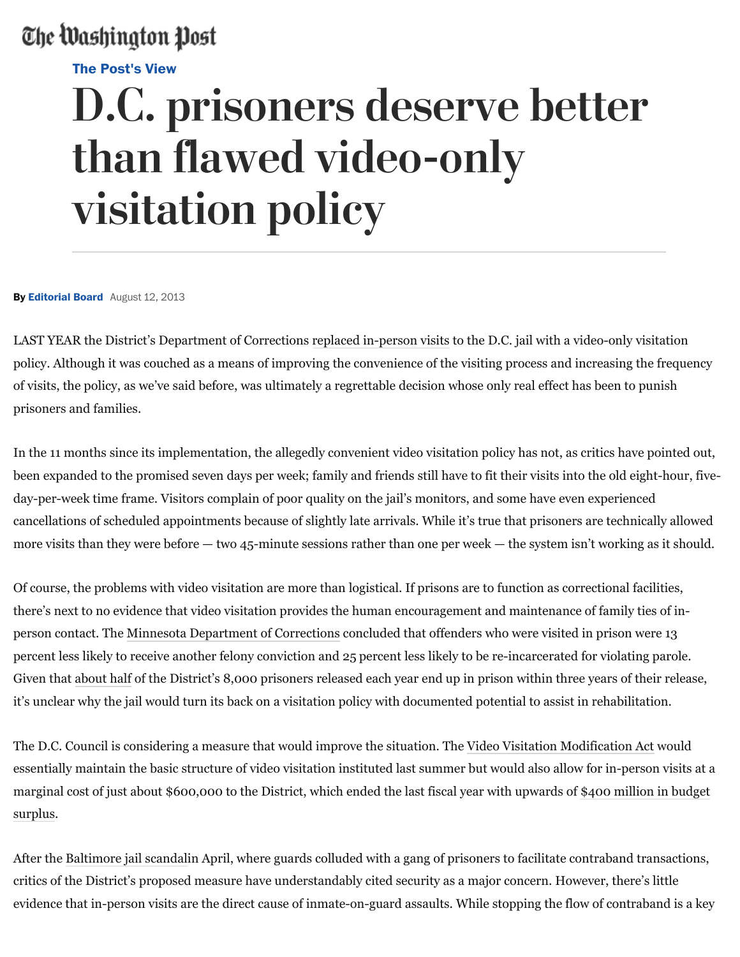### The Washington Post

#### The Post's View

# D.C. prisoners deserve better than flawed video-only visitation policy

By Editorial Board August 12, 2013

LAST YEAR the District's Department of Corrections replaced in-person visits to the D.C. jail with a video-only visitation policy. Although it was couched as a means of improving the convenience of the visiting process and increasing the frequency of visits, the policy, as we've said before, was ultimately a regrettable decision whose only real effect has been to punish prisoners and families.

In the 11 months since its implementation, the allegedly convenient video visitation policy has not, as critics have pointed out, been expanded to the promised seven days per week; family and friends still have to fit their visits into the old eight-hour, fiveday-per-week time frame. Visitors complain of poor quality on the jail's monitors, and some have even experienced cancellations of scheduled appointments because of slightly late arrivals. While it's true that prisoners are technically allowed more visits than they were before — two 45-minute sessions rather than one per week — the system isn't working as it should.

Of course, the problems with video visitation are more than logistical. If prisons are to function as correctional facilities, there's next to no evidence that video visitation provides the human encouragement and maintenance of family ties of inperson contact. The Minnesota Department of Corrections concluded that offenders who were visited in prison were 13 percent less likely to receive another felony conviction and 25 percent less likely to be re-incarcerated for violating parole. Given that about half of the District's 8,000 prisoners released each year end up in prison within three years of their release, it's unclear why the jail would turn its back on a visitation policy with documented potential to assist in rehabilitation.

The D.C. Council is considering a measure that would improve the situation. The Video Visitation Modification Act would essentially maintain the basic structure of video visitation instituted last summer but would also allow for in-person visits at a marginal cost of just about \$600,000 to the District, which ended the last fiscal year with upwards of \$400 million in budget surplus.

After the Baltimore jail scandalin April, where guards colluded with a gang of prisoners to facilitate contraband transactions, critics of the District's proposed measure have understandably cited security as a major concern. However, there's little evidence that in-person visits are the direct cause of inmate-on-guard assaults. While stopping the flow of contraband is a key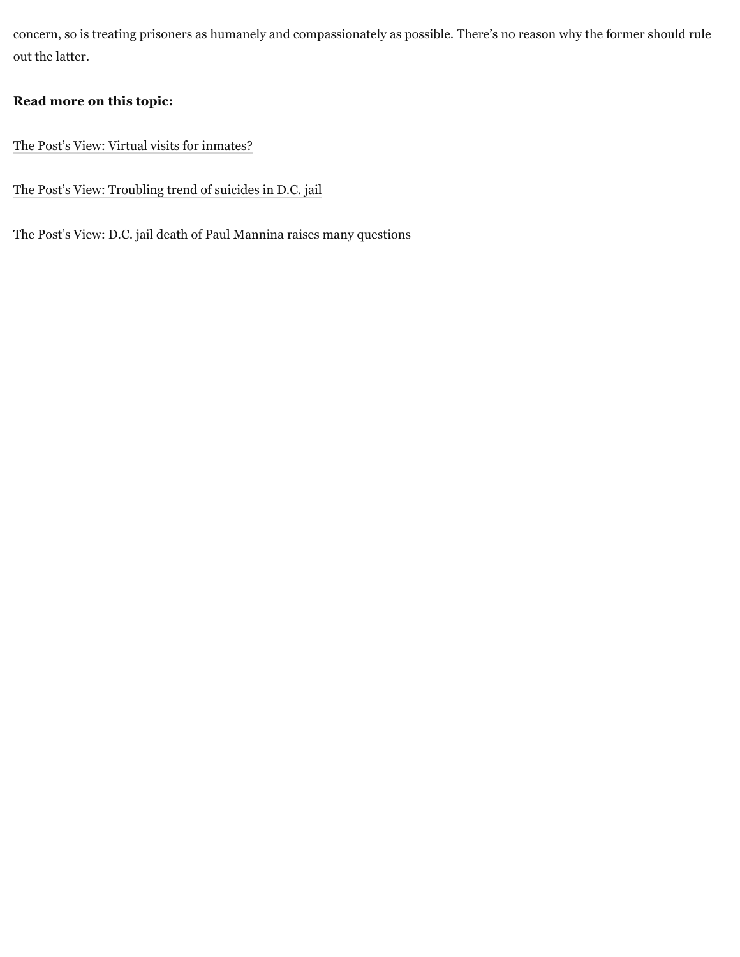concern, so is treating prisoners as humanely and compassionately as possible. There's no reason why the former should rule out the latter.

#### **Read more on this topic:**

The Post's View: Virtual visits for inmates?

The Post's View: Troubling trend of suicides in D.C. jail

The Post's View: D.C. jail death of Paul Mannina raises many questions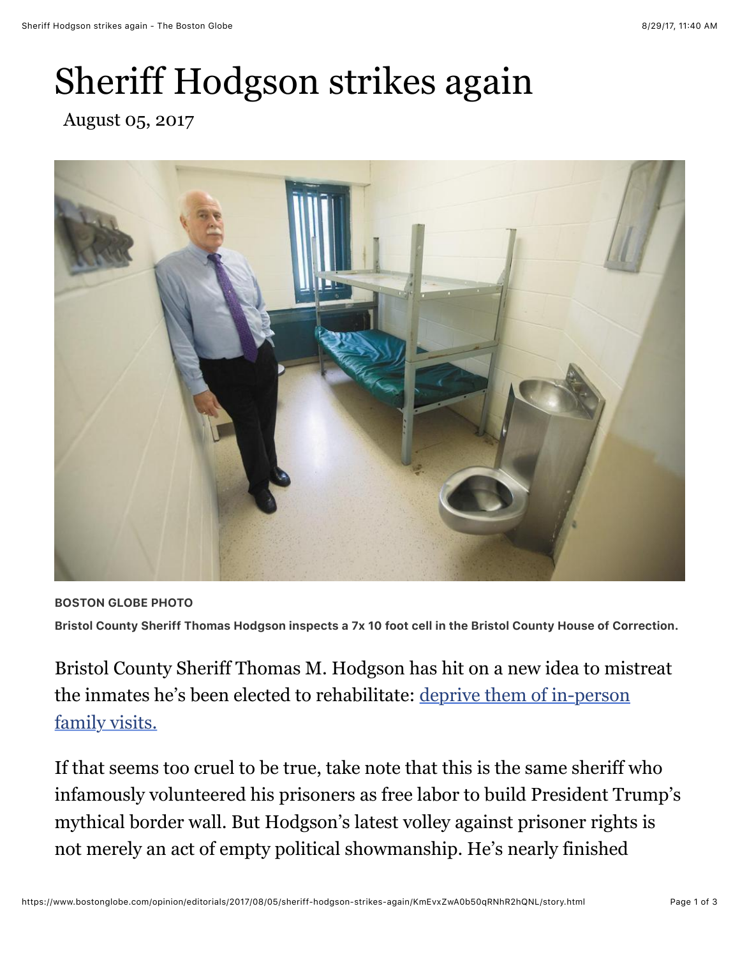# Sheriff Hodgson strikes again

### August 05, 2017



**BOSTON GLOBE PHOTO Bristol County Sheriff Thomas Hodgson inspects a 7x 10 foot cell in the Bristol County House of Correction.**

Bristol County Sheriff Thomas M. Hodgson has hit on a new idea to mistreat [the inmates he's been elected to rehabilitate: deprive them of in-person](http://www.bostonglobe.com/metro/2017/07/25/sheriff-looks-replace-person-visits-with-video-conferences-bristol-county-house-correction/pcim8mDOf5138MHHIcIZIM/story.html?event=event12) family visits.

If that seems too cruel to be true, take note that this is the same sheriff who infamously volunteered his prisoners as free labor to build President Trump's mythical border wall. But Hodgson's latest volley against prisoner rights is not merely an act of empty political showmanship. He's nearly finished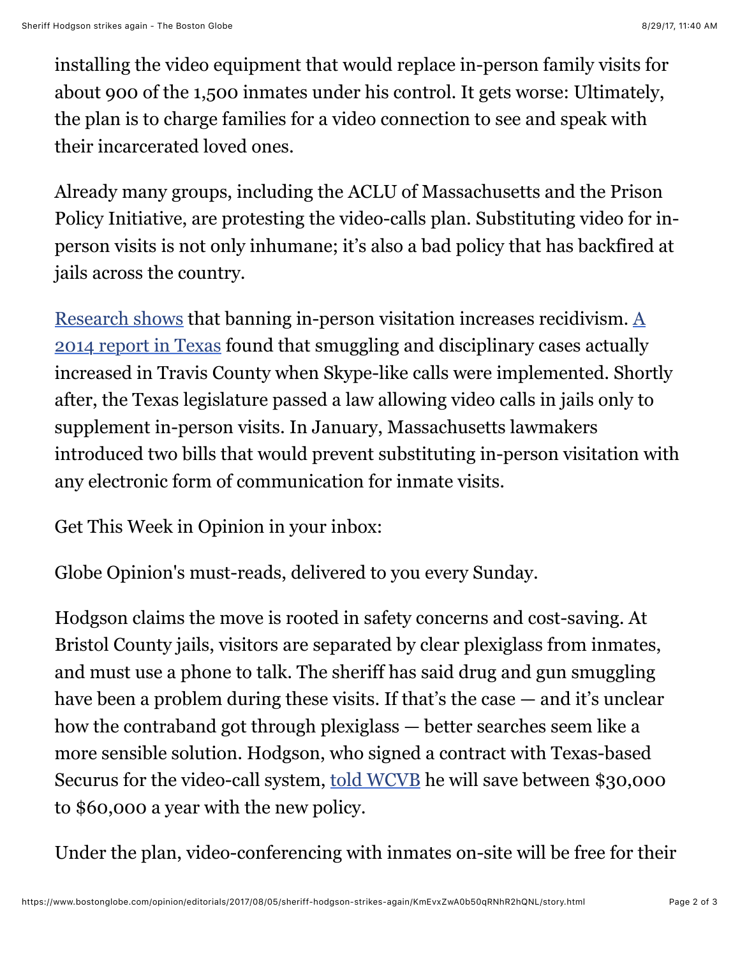installing the video equipment that would replace in-person family visits for about 900 of the 1,500 inmates under his control. It gets worse: Ultimately, the plan is to charge families for a video connection to see and speak with their incarcerated loved ones.

Already many groups, including the ACLU of Massachusetts and the Prison Policy Initiative, are protesting the video-calls plan. Substituting video for inperson visits is not only inhumane; it's also a bad policy that has backfired at jails across the country.

[Research shows](https://www.prisonpolicy.org/visitation/) that banning in-person visitation increases recidivism.  $\underline{A}$ 2014 report in Texas found that smuggling and disciplinary cases actually increased in Travis County when Skype-like calls were implemented. Shortly after, the Texas legislature passed a law allowing video calls in jails only to supplement in-person visits. In January, Massachusetts lawmakers introduced two bills that would prevent substituting in-person visitation with any electronic form of communication for inmate visits.

Get This Week in Opinion in your inbox:

Globe Opinion's must-reads, delivered to you every Sunday.

Hodgson claims the move is rooted in safety concerns and cost-saving. At Bristol County jails, visitors are separated by clear plexiglass from inmates, and must use a phone to talk. The sheriff has said drug and gun smuggling have been a problem during these visits. If that's the case — and it's unclear how the contraband got through plexiglass — better searches seem like a more sensible solution. Hodgson, who signed a contract with Texas-based Securus for the video-call system, [told WCVB](http://www.wcvb.com/article/bristol-county-jail-to-ban-most-in-person-visits/10343518) he will save between \$30,000 to \$60,000 a year with the new policy.

Under the plan, video-conferencing with inmates on-site will be free for their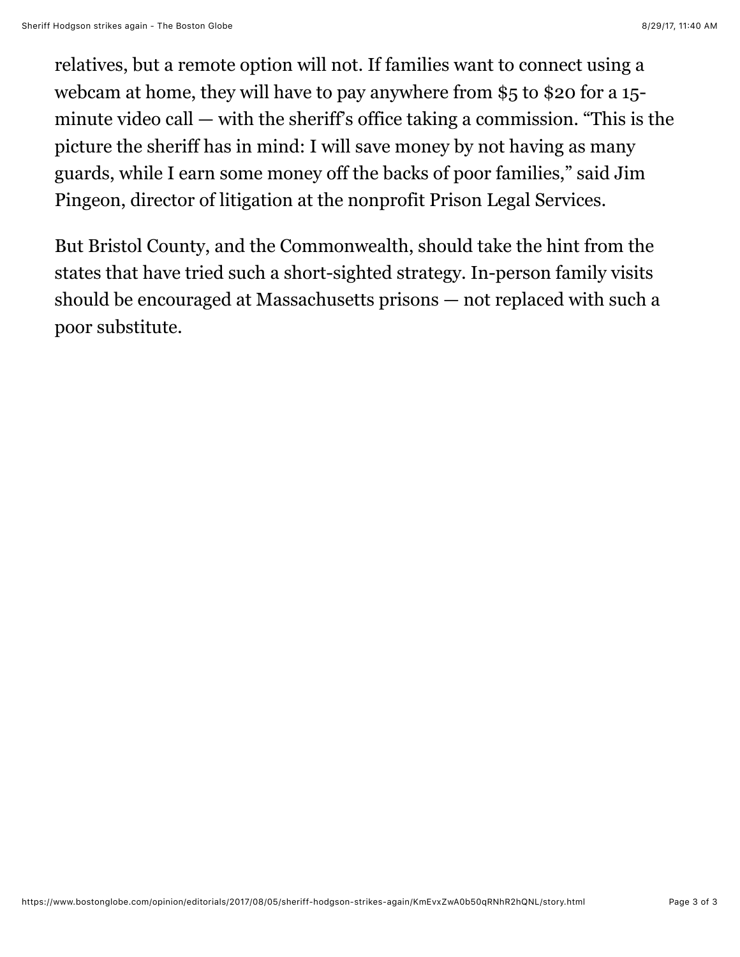relatives, but a remote option will not. If families want to connect using a webcam at home, they will have to pay anywhere from \$5 to \$20 for a 15 minute video call — with the sheriff's office taking a commission. "This is the picture the sheriff has in mind: I will save money by not having as many guards, while I earn some money off the backs of poor families," said Jim Pingeon, director of litigation at the nonprofit Prison Legal Services.

But Bristol County, and the Commonwealth, should take the hint from the states that have tried such a short-sighted strategy. In-person family visits should be encouraged at Massachusetts prisons — not replaced with such a poor substitute.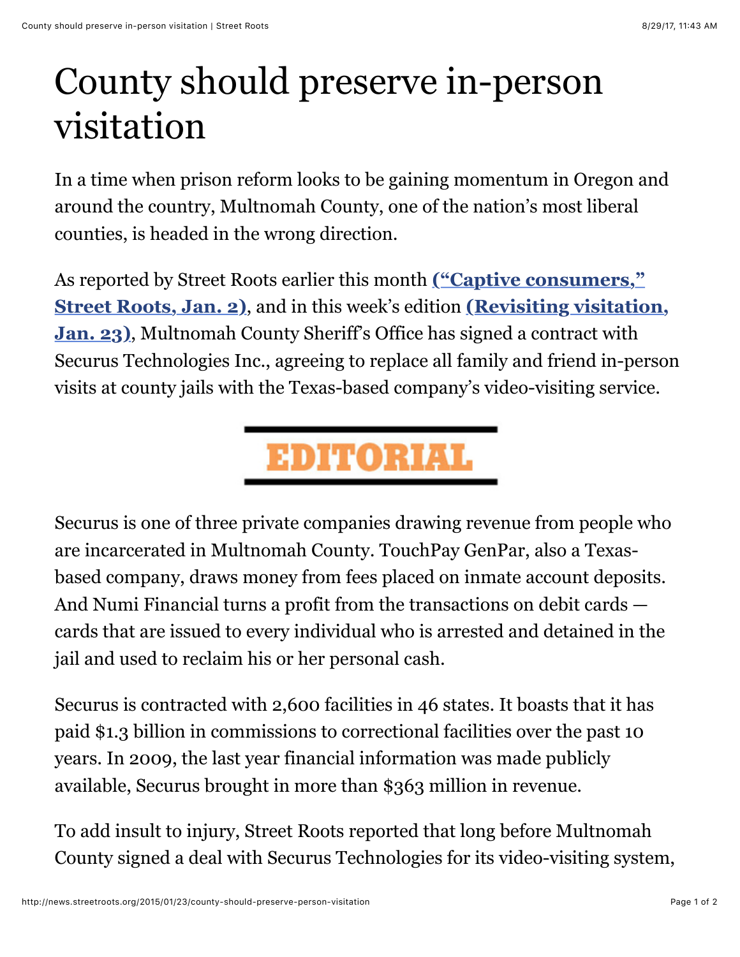## County should preserve in-person visitation

In a time when prison reform looks to be gaining momentum in Oregon and around the country, Multnomah County, one of the nation's most liberal counties, is headed in the wrong direction.

[As reported by Street Roots earlier this month](http://news.streetroots.org/2015/01/06/captive-consumers-corporations-reap-big-profits-inmate-finances-video-visitations) **("Captive consumers," Street Roots, Jan. 2)**, and in this week's edition **(Revisiting visitation, Jan. 23)**[, Multnomah County Sheriff's Office has signed a contract with](http://news.streetroots.org/2015/01/21/technical-difficulty-sheriff-staton-s-move-replace-person-visits-multnomah-county-jails) Securus Technologies Inc., agreeing to replace all family and friend in-person visits at county jails with the Texas-based company's video-visiting service.

# **EDITORIAL**

Securus is one of three private companies drawing revenue from people who are incarcerated in Multnomah County. TouchPay GenPar, also a Texasbased company, draws money from fees placed on inmate account deposits. And Numi Financial turns a profit from the transactions on debit cards cards that are issued to every individual who is arrested and detained in the jail and used to reclaim his or her personal cash.

Securus is contracted with 2,600 facilities in 46 states. It boasts that it has paid \$1.3 billion in commissions to correctional facilities over the past 10 years. In 2009, the last year financial information was made publicly available, Securus brought in more than \$363 million in revenue.

To add insult to injury, Street Roots reported that long before Multnomah County signed a deal with Securus Technologies for its video-visiting system,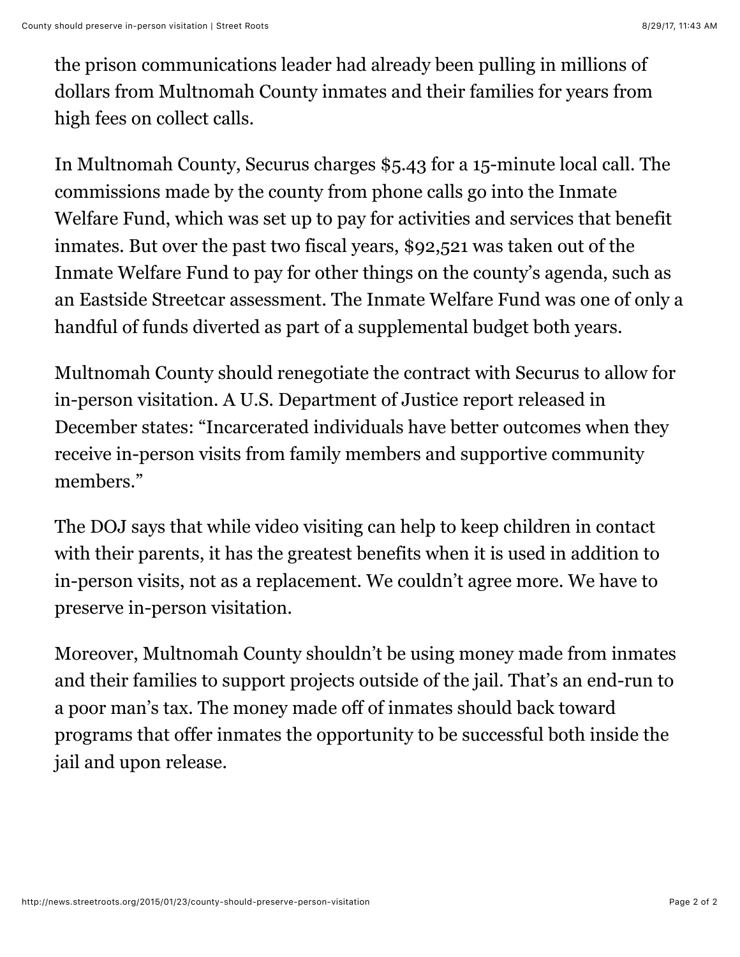the prison communications leader had already been pulling in millions of dollars from Multnomah County inmates and their families for years from high fees on collect calls.

In Multnomah County, Securus charges \$5.43 for a 15-minute local call. The commissions made by the county from phone calls go into the Inmate Welfare Fund, which was set up to pay for activities and services that benefit inmates. But over the past two fiscal years, \$92,521 was taken out of the Inmate Welfare Fund to pay for other things on the county's agenda, such as an Eastside Streetcar assessment. The Inmate Welfare Fund was one of only a handful of funds diverted as part of a supplemental budget both years.

Multnomah County should renegotiate the contract with Securus to allow for in-person visitation. A U.S. Department of Justice report released in December states: "Incarcerated individuals have better outcomes when they receive in-person visits from family members and supportive community members."

The DOJ says that while video visiting can help to keep children in contact with their parents, it has the greatest benefits when it is used in addition to in-person visits, not as a replacement. We couldn't agree more. We have to preserve in-person visitation.

Moreover, Multnomah County shouldn't be using money made from inmates and their families to support projects outside of the jail. That's an end-run to a poor man's tax. The money made off of inmates should back toward programs that offer inmates the opportunity to be successful both inside the jail and upon release.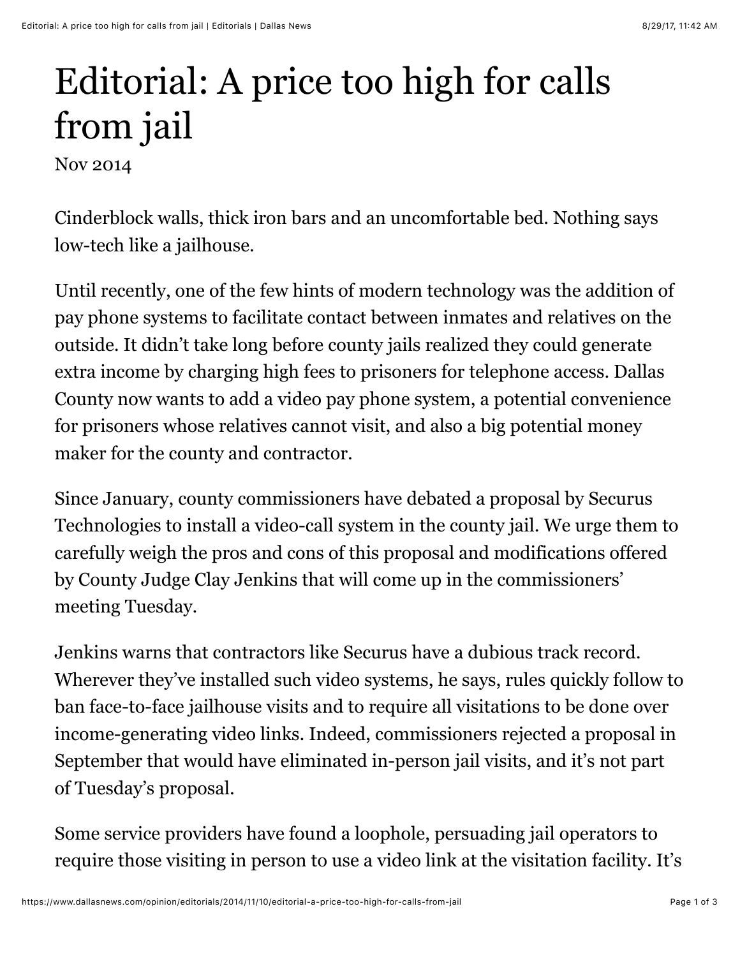# Editorial: A price too high for calls from jail

Nov 2014

Cinderblock walls, thick iron bars and an uncomfortable bed. Nothing says low-tech like a jailhouse.

Until recently, one of the few hints of modern technology was the addition of pay phone systems to facilitate contact between inmates and relatives on the outside. It didn't take long before county jails realized they could generate extra income by charging high fees to prisoners for telephone access. Dallas County now wants to add a video pay phone system, a potential convenience for prisoners whose relatives cannot visit, and also a big potential money maker for the county and contractor.

Since January, county commissioners have debated a proposal by Securus Technologies to install a video-call system in the county jail. We urge them to carefully weigh the pros and cons of this proposal and modifications offered by County Judge Clay Jenkins that will come up in the commissioners' meeting Tuesday.

Jenkins warns that contractors like Securus have a dubious track record. Wherever they've installed such video systems, he says, rules quickly follow to ban face-to-face jailhouse visits and to require all visitations to be done over income-generating video links. Indeed, commissioners rejected a proposal in September that would have eliminated in-person jail visits, and it's not part of Tuesday's proposal.

Some service providers have found a loophole, persuading jail operators to require those visiting in person to use a video link at the visitation facility. It's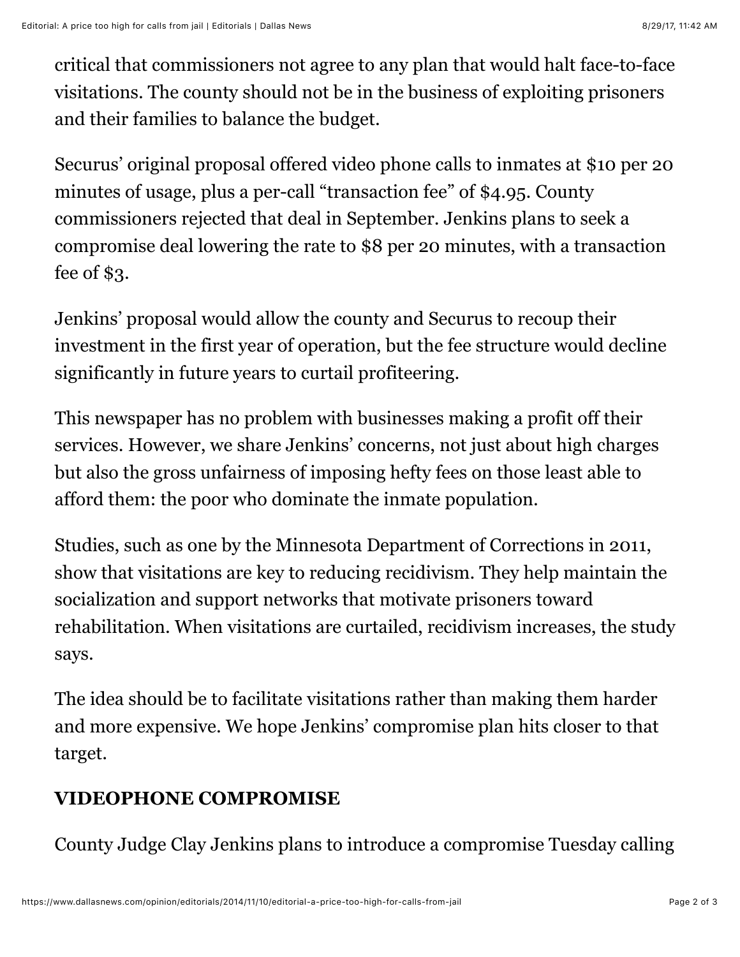critical that commissioners not agree to any plan that would halt face-to-face visitations. The county should not be in the business of exploiting prisoners and their families to balance the budget.

Securus' original proposal offered video phone calls to inmates at \$10 per 20 minutes of usage, plus a per-call "transaction fee" of \$4.95. County commissioners rejected that deal in September. Jenkins plans to seek a compromise deal lowering the rate to \$8 per 20 minutes, with a transaction fee of \$3.

Jenkins' proposal would allow the county and Securus to recoup their investment in the first year of operation, but the fee structure would decline significantly in future years to curtail profiteering.

This newspaper has no problem with businesses making a profit off their services. However, we share Jenkins' concerns, not just about high charges but also the gross unfairness of imposing hefty fees on those least able to afford them: the poor who dominate the inmate population.

Studies, such as one by the Minnesota Department of Corrections in 2011, show that visitations are key to reducing recidivism. They help maintain the socialization and support networks that motivate prisoners toward rehabilitation. When visitations are curtailed, recidivism increases, the study says.

The idea should be to facilitate visitations rather than making them harder and more expensive. We hope Jenkins' compromise plan hits closer to that target.

### **VIDEOPHONE COMPROMISE**

County Judge Clay Jenkins plans to introduce a compromise Tuesday calling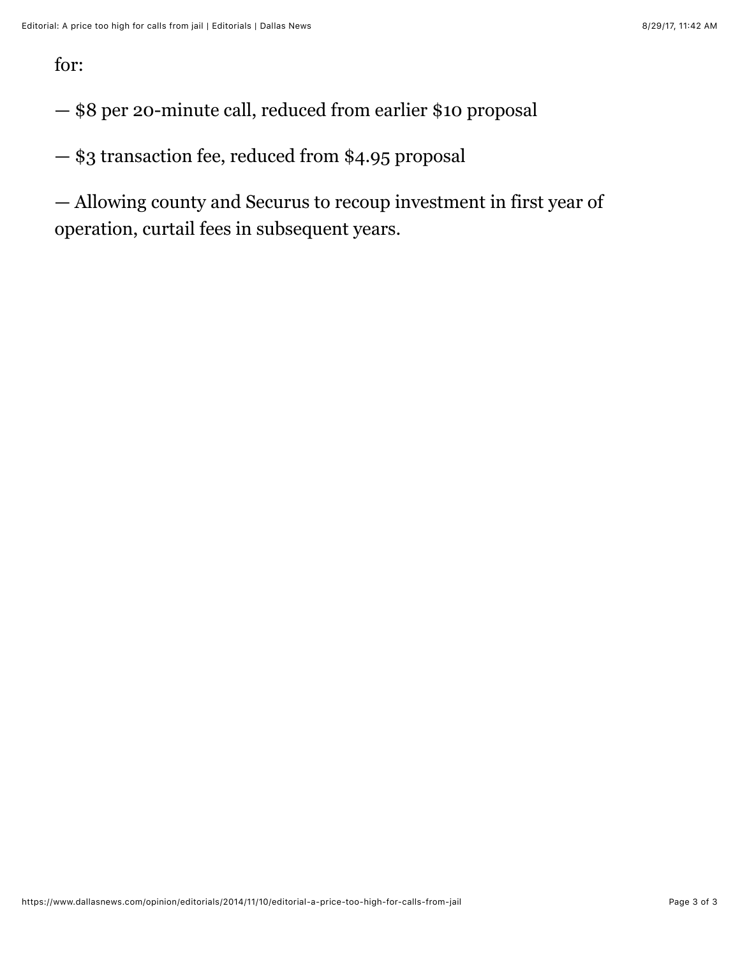#### for:

- \$8 per 20-minute call, reduced from earlier \$10 proposal
- \$3 transaction fee, reduced from \$4.95 proposal

— Allowing county and Securus to recoup investment in first year of operation, curtail fees in subsequent years.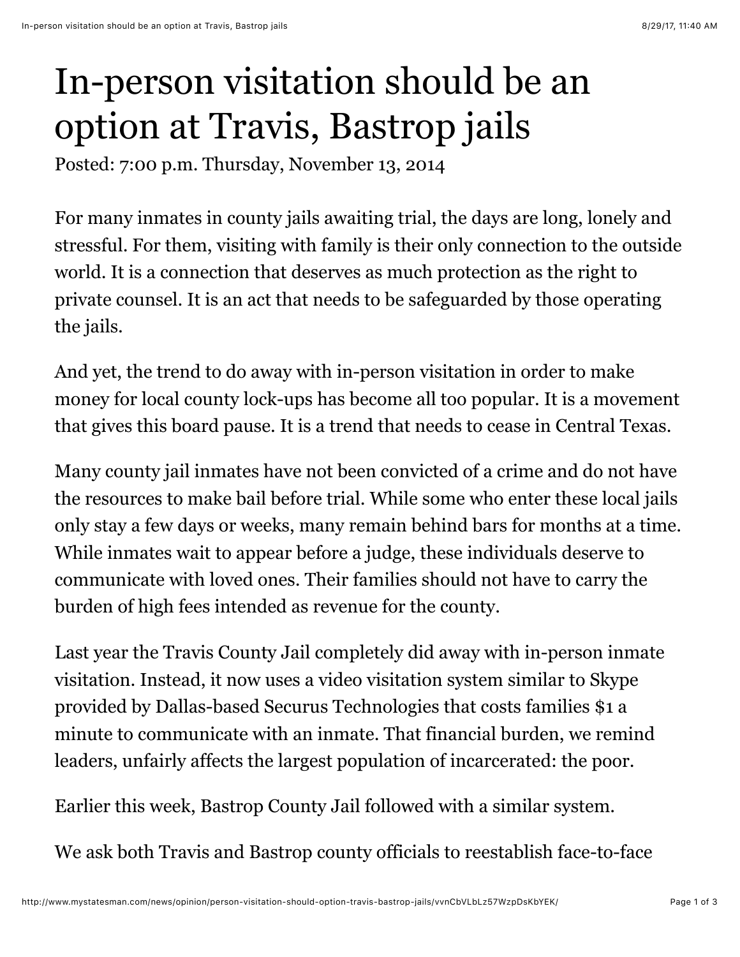## In-person visitation should be an option at Travis, Bastrop jails

Posted: 7:00 p.m. Thursday, November 13, 2014

For many inmates in county jails awaiting trial, the days are long, lonely and stressful. For them, visiting with family is their only connection to the outside world. It is a connection that deserves as much protection as the right to private counsel. It is an act that needs to be safeguarded by those operating the jails.

And yet, the trend to do away with in-person visitation in order to make money for local county lock-ups has become all too popular. It is a movement that gives this board pause. It is a trend that needs to cease in Central Texas.

Many county jail inmates have not been convicted of a crime and do not have the resources to make bail before trial. While some who enter these local jails only stay a few days or weeks, many remain behind bars for months at a time. While inmates wait to appear before a judge, these individuals deserve to communicate with loved ones. Their families should not have to carry the burden of high fees intended as revenue for the county.

Last year the Travis County Jail completely did away with in-person inmate visitation. Instead, it now uses a video visitation system similar to Skype provided by Dallas-based Securus Technologies that costs families \$1 a minute to communicate with an inmate. That financial burden, we remind leaders, unfairly affects the largest population of incarcerated: the poor.

Earlier this week, Bastrop County Jail followed with a similar system.

We ask both Travis and Bastrop county officials to reestablish face-to-face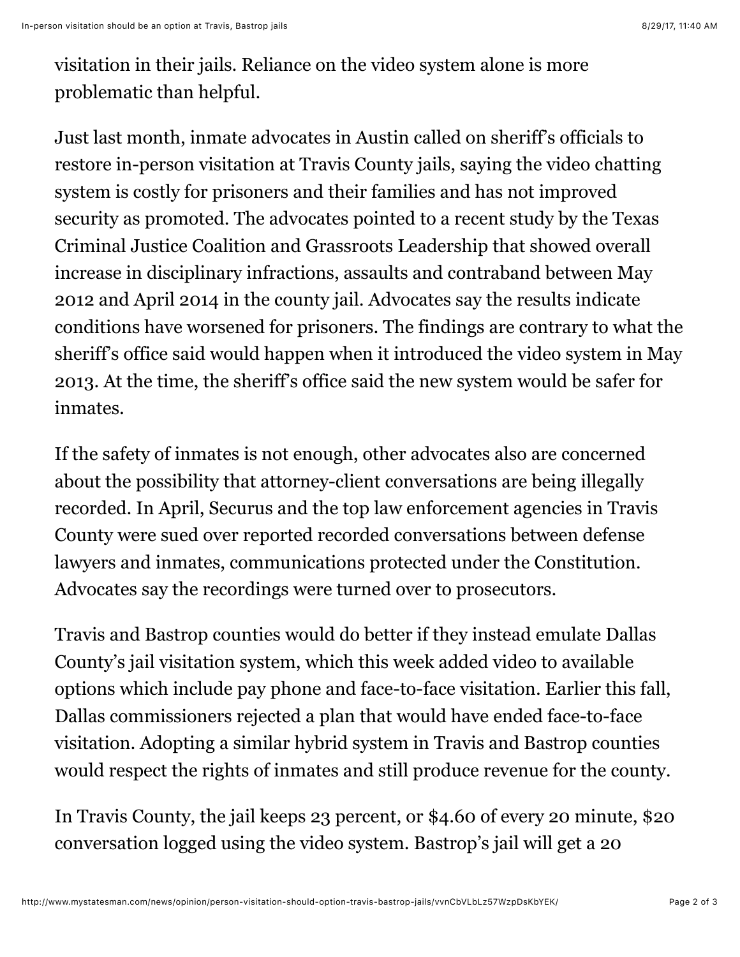visitation in their jails. Reliance on the video system alone is more problematic than helpful.

Just last month, inmate advocates in Austin called on sheriff's officials to restore in-person visitation at Travis County jails, saying the video chatting system is costly for prisoners and their families and has not improved security as promoted. The advocates pointed to a recent study by the Texas Criminal Justice Coalition and Grassroots Leadership that showed overall increase in disciplinary infractions, assaults and contraband between May 2012 and April 2014 in the county jail. Advocates say the results indicate conditions have worsened for prisoners. The findings are contrary to what the sheriff's office said would happen when it introduced the video system in May 2013. At the time, the sheriff's office said the new system would be safer for inmates.

If the safety of inmates is not enough, other advocates also are concerned about the possibility that attorney-client conversations are being illegally recorded. In April, Securus and the top law enforcement agencies in Travis County were sued over reported recorded conversations between defense lawyers and inmates, communications protected under the Constitution. Advocates say the recordings were turned over to prosecutors.

Travis and Bastrop counties would do better if they instead emulate Dallas County's jail visitation system, which this week added video to available options which include pay phone and face-to-face visitation. Earlier this fall, Dallas commissioners rejected a plan that would have ended face-to-face visitation. Adopting a similar hybrid system in Travis and Bastrop counties would respect the rights of inmates and still produce revenue for the county.

In Travis County, the jail keeps 23 percent, or \$4.60 of every 20 minute, \$20 conversation logged using the video system. Bastrop's jail will get a 20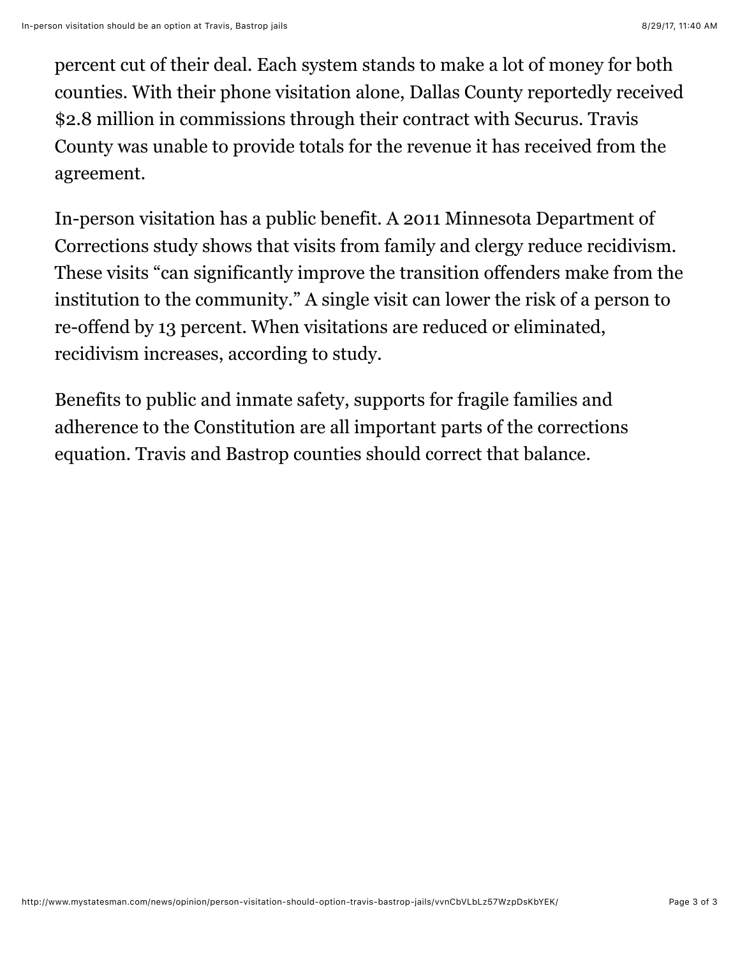percent cut of their deal. Each system stands to make a lot of money for both counties. With their phone visitation alone, Dallas County reportedly received \$2.8 million in commissions through their contract with Securus. Travis County was unable to provide totals for the revenue it has received from the agreement.

In-person visitation has a public benefit. A 2011 Minnesota Department of Corrections study shows that visits from family and clergy reduce recidivism. These visits "can significantly improve the transition offenders make from the institution to the community." A single visit can lower the risk of a person to re-offend by 13 percent. When visitations are reduced or eliminated, recidivism increases, according to study.

Benefits to public and inmate safety, supports for fragile families and adherence to the Constitution are all important parts of the corrections equation. Travis and Bastrop counties should correct that balance.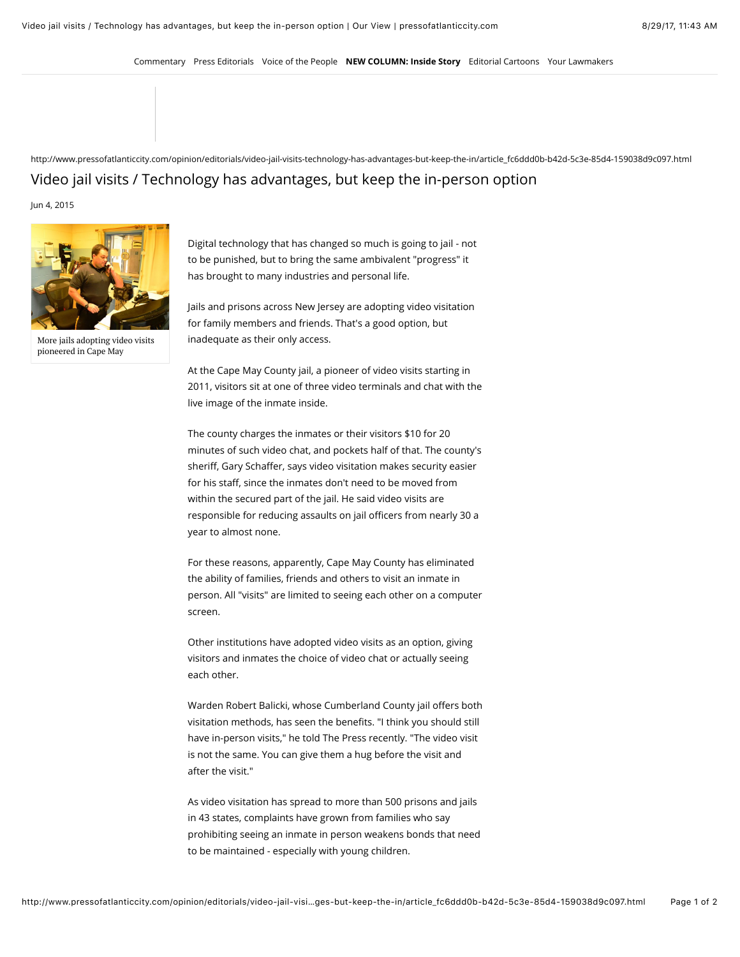[Commentary](http://www.pressofatlanticcity.com/opinion/commentary) [Press Editorials](http://www.pressofatlanticcity.com/opinion/editorials) [Voice of the People](http://www.pressofatlanticcity.com/opinion/letters) **[NEW COLUMN: Inside Story](http://www.pressofatlanticcity.com/opinion/inside_story)** [Editorial Cartoons](http://www.pressofatlanticcity.com/opinion/cartoons) [Your Lawmakers](http://www.pressofatlanticcity.com/opinion/your_lawmakers)

http://www.pressofatlanticcity.com/opinion/editorials/video-jail-visits-technology-has-advantages-but-keep-the-in/article\_fc6ddd0b-b42d-5c3e-85d4-159038d9c097.html Video jail visits / Technology has advantages, but keep the in-person option

Jun 4, 2015



[More jails adopting video visits](http://www.pressofatlanticcity.com/news/more-jails-adopting-video-visits-pioneered-in-cape-may/article_f11ab560-00e2-11e5-87eb-77590d2d19fe.html) pioneered in Cape May

Digital technology that has changed so much is going to jail - not to be punished, but to bring the same ambivalent "progress" it has brought to many industries and personal life.

Jails and prisons across New Jersey are adopting video visitation for family members and friends. That's a good option, but inadequate as their only access.

At the Cape May County jail, a pioneer of video visits starting in 2011, visitors sit at one of three video terminals and chat with the live image of the inmate inside.

The county charges the inmates or their visitors \$10 for 20 minutes of such video chat, and pockets half of that. The county's sheriff, Gary Schaffer, says video visitation makes security easier for his staff, since the inmates don't need to be moved from within the secured part of the jail. He said video visits are responsible for reducing assaults on jail officers from nearly 30 a year to almost none.

For these reasons, apparently, Cape May County has eliminated the ability of families, friends and others to visit an inmate in person. All "visits" are limited to seeing each other on a computer screen.

Other institutions have adopted video visits as an option, giving visitors and inmates the choice of video chat or actually seeing each other.

Warden Robert Balicki, whose Cumberland County jail offers both visitation methods, has seen the benefits. "I think you should still have in-person visits," he told The Press recently. "The video visit is not the same. You can give them a hug before the visit and after the visit."

As video visitation has spread to more than 500 prisons and jails in 43 states, complaints have grown from families who say prohibiting seeing an inmate in person weakens bonds that need to be maintained - especially with young children.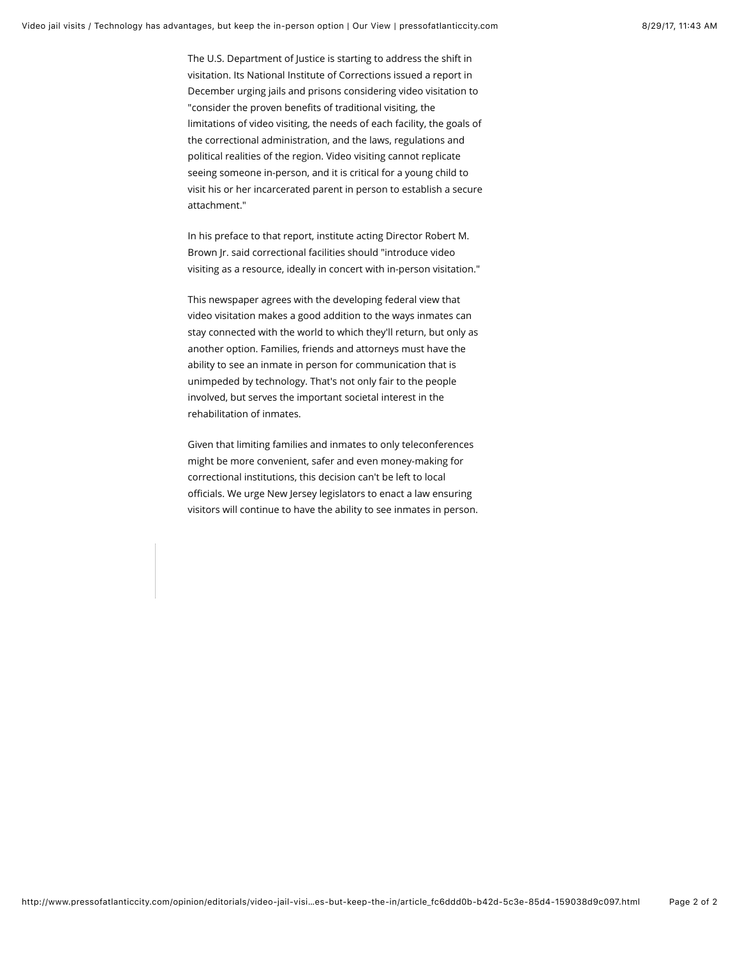The U.S. Department of Justice is starting to address the shift in visitation. Its National Institute of Corrections issued a report in December urging jails and prisons considering video visitation to "consider the proven benefits of traditional visiting, the limitations of video visiting, the needs of each facility, the goals of the correctional administration, and the laws, regulations and political realities of the region. Video visiting cannot replicate seeing someone in-person, and it is critical for a young child to visit his or her incarcerated parent in person to establish a secure attachment."

In his preface to that report, institute acting Director Robert M. Brown Jr. said correctional facilities should "introduce video visiting as a resource, ideally in concert with in-person visitation."

This newspaper agrees with the developing federal view that video visitation makes a good addition to the ways inmates can stay connected with the world to which they'll return, but only as another option. Families, friends and attorneys must have the ability to see an inmate in person for communication that is unimpeded by technology. That's not only fair to the people involved, but serves the important societal interest in the rehabilitation of inmates.

Given that limiting families and inmates to only teleconferences might be more convenient, safer and even money-making for correctional institutions, this decision can't be left to local officials. We urge New Jersey legislators to enact a law ensuring visitors will continue to have the ability to see inmates in person.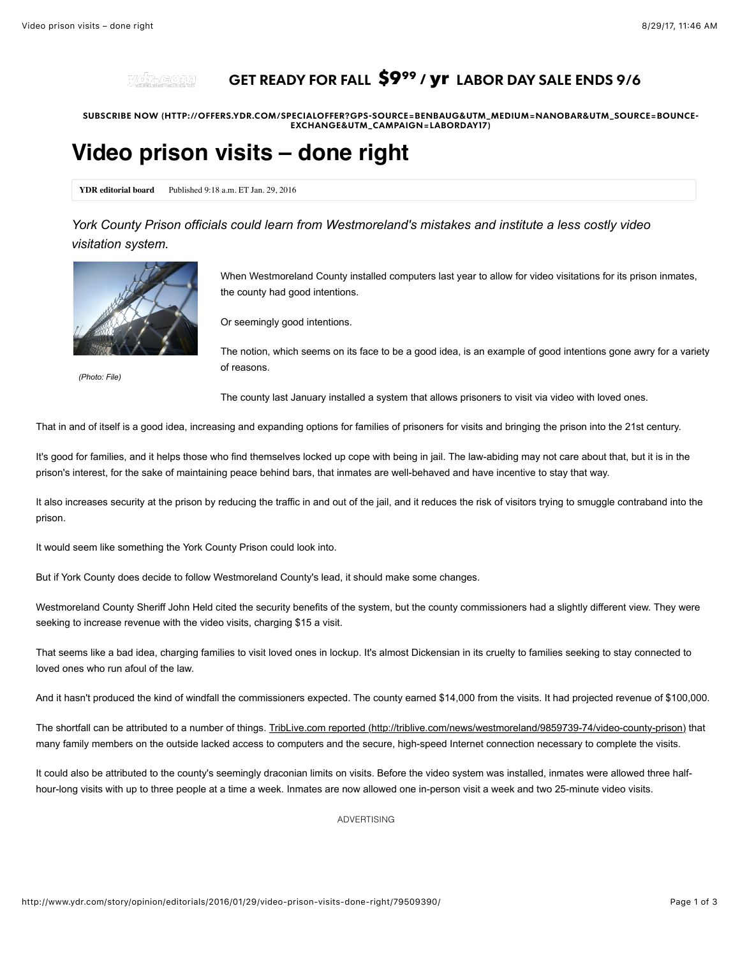#### *ychocom* **GET READY FOR FALL \$9<sup>99</sup> / yr** LABOR DAY SALE ENDS 9/6

#### **[SUBSCRIBE NOW \(HTTP://OFFERS.YDR.COM/SPECIALOFFER?GPS-SOURCE=BENBAUG&UTM\\_MEDIUM=NANOBAR&UTM\\_SOURCE=BOUNCE-](http://offers.ydr.com/specialoffer?gps-source=BENBaug&utm_medium=nanobar&utm_source=bounce-exchange&utm_campaign=laborday17)EXCHANGE&UTM\_CAMPAIGN=LABORDAY17)**

### **Video prison visits – done right**

**YDR editorial board** Published 9:18 a.m. ET Jan. 29, 2016

*York County Prison officials could learn from Westmoreland's mistakes and institute a less costly video visitation system.*



*(Photo: File)*

When Westmoreland County installed computers last year to allow for video visitations for its prison inmates, the county had good intentions.

Or seemingly good intentions.

The notion, which seems on its face to be a good idea, is an example of good intentions gone awry for a variety of reasons.

The county last January installed a system that allows prisoners to visit via video with loved ones.

That in and of itself is a good idea, increasing and expanding options for families of prisoners for visits and bringing the prison into the 21st century.

It's good for families, and it helps those who find themselves locked up cope with being in jail. The law-abiding may not care about that, but it is in the prison's interest, for the sake of maintaining peace behind bars, that inmates are well-behaved and have incentive to stay that way.

It also increases security at the prison by reducing the traffic in and out of the jail, and it reduces the risk of visitors trying to smuggle contraband into the prison.

It would seem like something the York County Prison could look into.

But if York County does decide to follow Westmoreland County's lead, it should make some changes.

Westmoreland County Sheriff John Held cited the security benefits of the system, but the county commissioners had a slightly different view. They were seeking to increase revenue with the video visits, charging \$15 a visit.

That seems like a bad idea, charging families to visit loved ones in lockup. It's almost Dickensian in its cruelty to families seeking to stay connected to loved ones who run afoul of the law.

And it hasn't produced the kind of windfall the commissioners expected. The county earned \$14,000 from the visits. It had projected revenue of \$100,000.

The shortfall can be attributed to a number of things. [TribLive.com reported \(http://triblive.com/news/westmoreland/9859739-74/video-county-prison\)](http://triblive.com/news/westmoreland/9859739-74/video-county-prison) that many family members on the outside lacked access to computers and the secure, high-speed Internet connection necessary to complete the visits.

It could also be attributed to the county's seemingly draconian limits on visits. Before the video system was installed, inmates were allowed three halfhour-long visits with up to three people at a time a week. Inmates are now allowed one in-person visit a week and two 25-minute video visits.

ADVERTISING